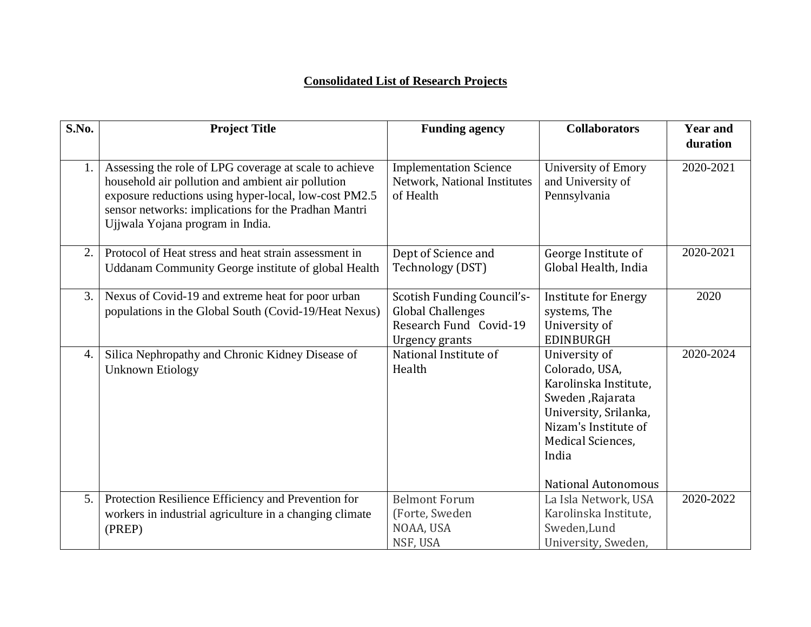## **Consolidated List of Research Projects**

| $\overline{\mathbf{S}}$ . No. | <b>Project Title</b>                                                                                                                                                                                                                                             | <b>Funding agency</b>                                                                              | <b>Collaborators</b>                                                                                                                                                                       | <b>Year and</b><br>duration |
|-------------------------------|------------------------------------------------------------------------------------------------------------------------------------------------------------------------------------------------------------------------------------------------------------------|----------------------------------------------------------------------------------------------------|--------------------------------------------------------------------------------------------------------------------------------------------------------------------------------------------|-----------------------------|
| 1.                            | Assessing the role of LPG coverage at scale to achieve<br>household air pollution and ambient air pollution<br>exposure reductions using hyper-local, low-cost PM2.5<br>sensor networks: implications for the Pradhan Mantri<br>Ujjwala Yojana program in India. | <b>Implementation Science</b><br><b>Network, National Institutes</b><br>of Health                  | University of Emory<br>and University of<br>Pennsylvania                                                                                                                                   | 2020-2021                   |
| 2.                            | Protocol of Heat stress and heat strain assessment in<br><b>Uddanam Community George institute of global Health</b>                                                                                                                                              | Dept of Science and<br>Technology (DST)                                                            | George Institute of<br>Global Health, India                                                                                                                                                | 2020-2021                   |
| 3.                            | Nexus of Covid-19 and extreme heat for poor urban<br>populations in the Global South (Covid-19/Heat Nexus)                                                                                                                                                       | Scotish Funding Council's-<br><b>Global Challenges</b><br>Research Fund Covid-19<br>Urgency grants | <b>Institute for Energy</b><br>systems, The<br>University of<br><b>EDINBURGH</b>                                                                                                           | 2020                        |
| 4.                            | Silica Nephropathy and Chronic Kidney Disease of<br><b>Unknown Etiology</b>                                                                                                                                                                                      | National Institute of<br>Health                                                                    | University of<br>Colorado, USA,<br>Karolinska Institute,<br>Sweden , Rajarata<br>University, Srilanka,<br>Nizam's Institute of<br>Medical Sciences,<br>India<br><b>National Autonomous</b> | 2020-2024                   |
| 5 <sub>1</sub>                | Protection Resilience Efficiency and Prevention for<br>workers in industrial agriculture in a changing climate<br>(PREP)                                                                                                                                         | <b>Belmont Forum</b><br>(Forte, Sweden<br>NOAA, USA<br>NSF, USA                                    | La Isla Network, USA<br>Karolinska Institute,<br>Sweden, Lund<br>University, Sweden,                                                                                                       | 2020-2022                   |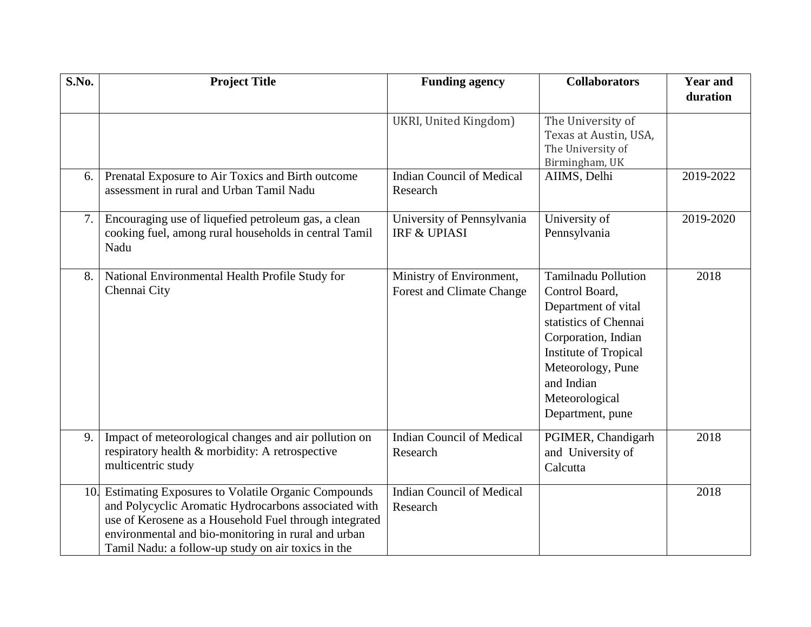| S.No. | <b>Project Title</b>                                                                                                                                                                                                                                                                  | <b>Funding agency</b>                                        | <b>Collaborators</b>                                                                                                                                                                                                         | <b>Year and</b><br>duration |
|-------|---------------------------------------------------------------------------------------------------------------------------------------------------------------------------------------------------------------------------------------------------------------------------------------|--------------------------------------------------------------|------------------------------------------------------------------------------------------------------------------------------------------------------------------------------------------------------------------------------|-----------------------------|
|       |                                                                                                                                                                                                                                                                                       | UKRI, United Kingdom)                                        | The University of<br>Texas at Austin, USA,<br>The University of<br>Birmingham, UK                                                                                                                                            |                             |
| 6.    | Prenatal Exposure to Air Toxics and Birth outcome<br>assessment in rural and Urban Tamil Nadu                                                                                                                                                                                         | <b>Indian Council of Medical</b><br>Research                 | AIIMS, Delhi                                                                                                                                                                                                                 | 2019-2022                   |
| 7.    | Encouraging use of liquefied petroleum gas, a clean<br>cooking fuel, among rural households in central Tamil<br>Nadu                                                                                                                                                                  | University of Pennsylvania<br><b>IRF &amp; UPIASI</b>        | University of<br>Pennsylvania                                                                                                                                                                                                | 2019-2020                   |
| 8.    | National Environmental Health Profile Study for<br>Chennai City                                                                                                                                                                                                                       | Ministry of Environment,<br><b>Forest and Climate Change</b> | <b>Tamilnadu Pollution</b><br>Control Board,<br>Department of vital<br>statistics of Chennai<br>Corporation, Indian<br><b>Institute of Tropical</b><br>Meteorology, Pune<br>and Indian<br>Meteorological<br>Department, pune | 2018                        |
| 9.    | Impact of meteorological changes and air pollution on<br>respiratory health & morbidity: A retrospective<br>multicentric study                                                                                                                                                        | <b>Indian Council of Medical</b><br>Research                 | PGIMER, Chandigarh<br>and University of<br>Calcutta                                                                                                                                                                          | 2018                        |
|       | 10. Estimating Exposures to Volatile Organic Compounds<br>and Polycyclic Aromatic Hydrocarbons associated with<br>use of Kerosene as a Household Fuel through integrated<br>environmental and bio-monitoring in rural and urban<br>Tamil Nadu: a follow-up study on air toxics in the | <b>Indian Council of Medical</b><br>Research                 |                                                                                                                                                                                                                              | 2018                        |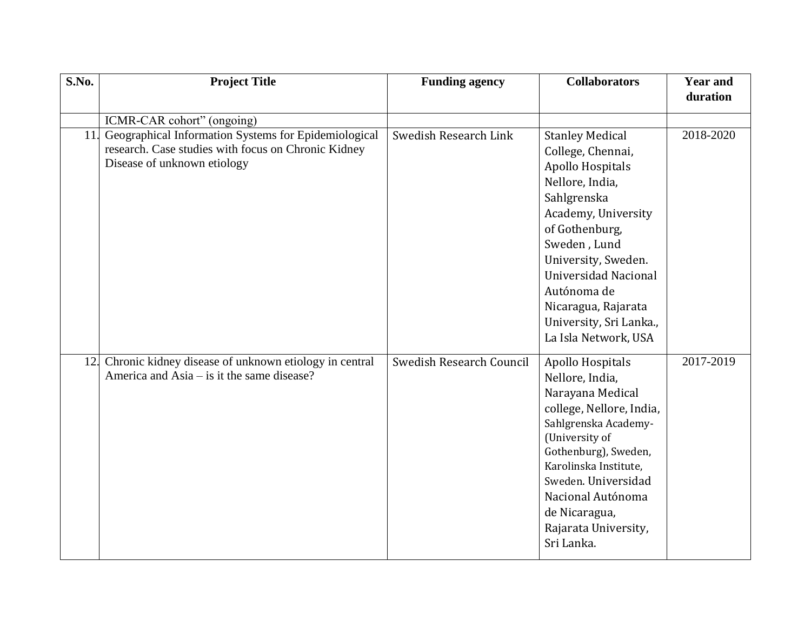| S.No. | <b>Project Title</b>                                                                                                                       | <b>Funding agency</b>    | <b>Collaborators</b>                                                                                                                                                                                                                                                                               | <b>Year and</b><br>duration |
|-------|--------------------------------------------------------------------------------------------------------------------------------------------|--------------------------|----------------------------------------------------------------------------------------------------------------------------------------------------------------------------------------------------------------------------------------------------------------------------------------------------|-----------------------------|
|       | ICMR-CAR cohort" (ongoing)                                                                                                                 |                          |                                                                                                                                                                                                                                                                                                    |                             |
| 11.   | Geographical Information Systems for Epidemiological<br>research. Case studies with focus on Chronic Kidney<br>Disease of unknown etiology | Swedish Research Link    | <b>Stanley Medical</b><br>College, Chennai,<br>Apollo Hospitals<br>Nellore, India,<br>Sahlgrenska<br>Academy, University<br>of Gothenburg,<br>Sweden, Lund<br>University, Sweden.<br>Universidad Nacional<br>Autónoma de<br>Nicaragua, Rajarata<br>University, Sri Lanka.,<br>La Isla Network, USA | 2018-2020                   |
| 12.   | Chronic kidney disease of unknown etiology in central<br>America and Asia – is it the same disease?                                        | Swedish Research Council | Apollo Hospitals<br>Nellore, India,<br>Narayana Medical<br>college, Nellore, India,<br>Sahlgrenska Academy-<br>(University of<br>Gothenburg), Sweden,<br>Karolinska Institute,<br>Sweden, Universidad<br>Nacional Autónoma<br>de Nicaragua,<br>Rajarata University,<br>Sri Lanka.                  | 2017-2019                   |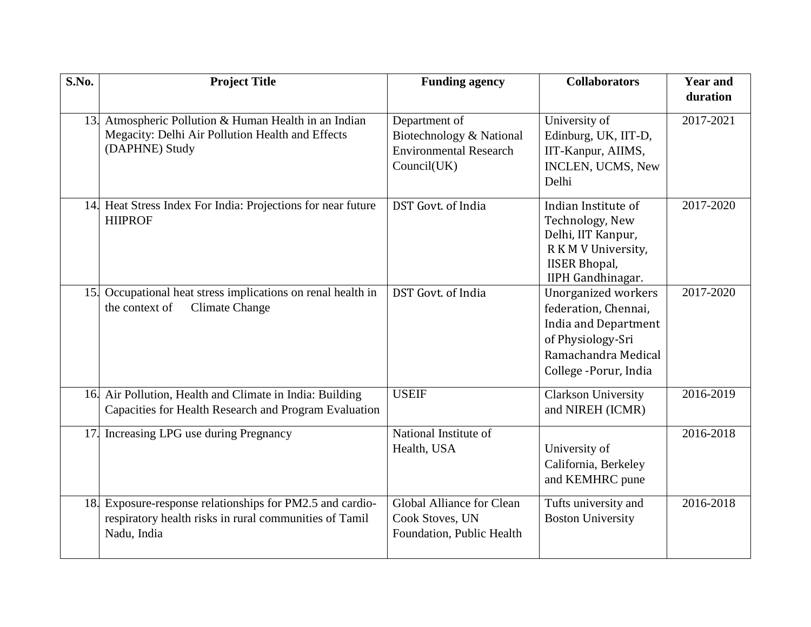| S.No. | <b>Project Title</b>                                                                                                               | <b>Funding agency</b>                                                                     | <b>Collaborators</b>                                                                                                                            | <b>Year and</b><br>duration |
|-------|------------------------------------------------------------------------------------------------------------------------------------|-------------------------------------------------------------------------------------------|-------------------------------------------------------------------------------------------------------------------------------------------------|-----------------------------|
|       |                                                                                                                                    |                                                                                           |                                                                                                                                                 |                             |
|       | 13. Atmospheric Pollution & Human Health in an Indian<br>Megacity: Delhi Air Pollution Health and Effects<br>(DAPHNE) Study        | Department of<br>Biotechnology & National<br><b>Environmental Research</b><br>Council(UK) | University of<br>Edinburg, UK, IIT-D,<br>IIT-Kanpur, AIIMS,<br>INCLEN, UCMS, New                                                                | 2017-2021                   |
|       |                                                                                                                                    |                                                                                           | Delhi                                                                                                                                           |                             |
|       | 14. Heat Stress Index For India: Projections for near future<br><b>HIIPROF</b>                                                     | DST Govt. of India                                                                        | Indian Institute of<br>Technology, New<br>Delhi, IIT Kanpur,<br>R K M V University,<br><b>IISER Bhopal,</b><br><b>IIPH</b> Gandhinagar.         | 2017-2020                   |
|       | 15. Occupational heat stress implications on renal health in<br>the context of<br><b>Climate Change</b>                            | DST Govt. of India                                                                        | Unorganized workers<br>federation, Chennai,<br><b>India and Department</b><br>of Physiology-Sri<br>Ramachandra Medical<br>College -Porur, India | 2017-2020                   |
|       | 16. Air Pollution, Health and Climate in India: Building<br>Capacities for Health Research and Program Evaluation                  | <b>USEIF</b>                                                                              | <b>Clarkson University</b><br>and NIREH (ICMR)                                                                                                  | 2016-2019                   |
|       | 17. Increasing LPG use during Pregnancy                                                                                            | National Institute of<br>Health, USA                                                      | University of<br>California, Berkeley<br>and KEMHRC pune                                                                                        | 2016-2018                   |
|       | 18. Exposure-response relationships for PM2.5 and cardio-<br>respiratory health risks in rural communities of Tamil<br>Nadu, India | Global Alliance for Clean<br>Cook Stoves, UN<br>Foundation, Public Health                 | Tufts university and<br><b>Boston University</b>                                                                                                | 2016-2018                   |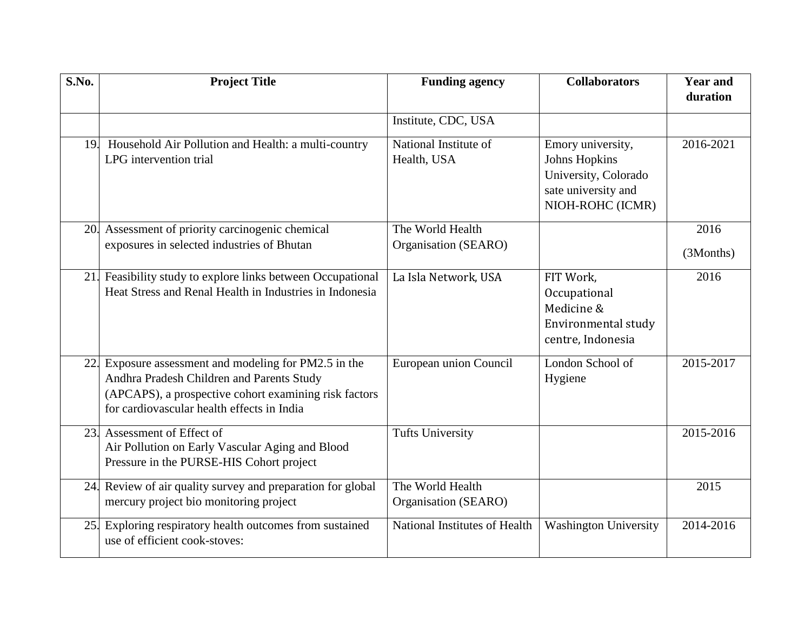| S.No. | <b>Project Title</b>                                                                                                                                                                                  | <b>Funding agency</b>                    | <b>Collaborators</b>                                                                                  | <b>Year and</b><br>duration |
|-------|-------------------------------------------------------------------------------------------------------------------------------------------------------------------------------------------------------|------------------------------------------|-------------------------------------------------------------------------------------------------------|-----------------------------|
|       |                                                                                                                                                                                                       | Institute, CDC, USA                      |                                                                                                       |                             |
| 19.   | Household Air Pollution and Health: a multi-country<br>LPG intervention trial                                                                                                                         | National Institute of<br>Health, USA     | Emory university,<br>Johns Hopkins<br>University, Colorado<br>sate university and<br>NIOH-ROHC (ICMR) | 2016-2021                   |
| 20.   | Assessment of priority carcinogenic chemical                                                                                                                                                          | The World Health                         |                                                                                                       | 2016                        |
|       | exposures in selected industries of Bhutan                                                                                                                                                            | Organisation (SEARO)                     |                                                                                                       | (3Months)                   |
| 21.   | Feasibility study to explore links between Occupational<br>Heat Stress and Renal Health in Industries in Indonesia                                                                                    | La Isla Network, USA                     | FIT Work,<br>Occupational<br>Medicine &<br>Environmental study<br>centre, Indonesia                   | 2016                        |
| 22.   | Exposure assessment and modeling for PM2.5 in the<br>Andhra Pradesh Children and Parents Study<br>(APCAPS), a prospective cohort examining risk factors<br>for cardiovascular health effects in India | European union Council                   | London School of<br>Hygiene                                                                           | 2015-2017                   |
| 23.   | Assessment of Effect of<br>Air Pollution on Early Vascular Aging and Blood<br>Pressure in the PURSE-HIS Cohort project                                                                                | <b>Tufts University</b>                  |                                                                                                       | 2015-2016                   |
| 24.   | Review of air quality survey and preparation for global<br>mercury project bio monitoring project                                                                                                     | The World Health<br>Organisation (SEARO) |                                                                                                       | 2015                        |
|       | 25. Exploring respiratory health outcomes from sustained<br>use of efficient cook-stoves:                                                                                                             | National Institutes of Health            | <b>Washington University</b>                                                                          | 2014-2016                   |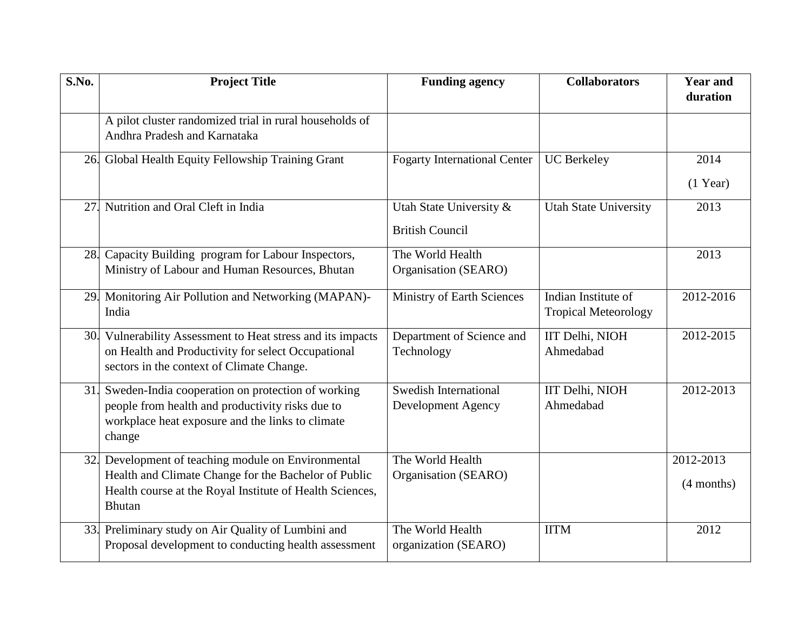| S.No.      | <b>Project Title</b>                                                                                                                                           | <b>Funding agency</b>                   | <b>Collaborators</b>                               | <b>Year and</b><br>duration |
|------------|----------------------------------------------------------------------------------------------------------------------------------------------------------------|-----------------------------------------|----------------------------------------------------|-----------------------------|
|            | A pilot cluster randomized trial in rural households of<br>Andhra Pradesh and Karnataka                                                                        |                                         |                                                    |                             |
| <b>26.</b> | Global Health Equity Fellowship Training Grant                                                                                                                 | <b>Fogarty International Center</b>     | <b>UC</b> Berkeley                                 | 2014                        |
|            |                                                                                                                                                                |                                         |                                                    | $(1$ Year)                  |
| 27         | Nutrition and Oral Cleft in India                                                                                                                              | Utah State University &                 | <b>Utah State University</b>                       | 2013                        |
|            |                                                                                                                                                                | <b>British Council</b>                  |                                                    |                             |
| 28.        | Capacity Building program for Labour Inspectors,                                                                                                               | The World Health                        |                                                    | 2013                        |
|            | Ministry of Labour and Human Resources, Bhutan                                                                                                                 | Organisation (SEARO)                    |                                                    |                             |
| <b>29.</b> | Monitoring Air Pollution and Networking (MAPAN)-<br>India                                                                                                      | Ministry of Earth Sciences              | Indian Institute of<br><b>Tropical Meteorology</b> | 2012-2016                   |
|            |                                                                                                                                                                |                                         | IIT Delhi, NIOH                                    | 2012-2015                   |
|            | 30. Vulnerability Assessment to Heat stress and its impacts<br>on Health and Productivity for select Occupational<br>sectors in the context of Climate Change. | Department of Science and<br>Technology | Ahmedabad                                          |                             |
| 31.        | Sweden-India cooperation on protection of working                                                                                                              | <b>Swedish International</b>            | IIT Delhi, NIOH                                    | 2012-2013                   |
|            | people from health and productivity risks due to<br>workplace heat exposure and the links to climate<br>change                                                 | <b>Development Agency</b>               | Ahmedabad                                          |                             |
| 32.        | Development of teaching module on Environmental                                                                                                                | The World Health                        |                                                    | 2012-2013                   |
|            | Health and Climate Change for the Bachelor of Public<br>Health course at the Royal Institute of Health Sciences,<br><b>Bhutan</b>                              | Organisation (SEARO)                    |                                                    | (4 months)                  |
|            | 33. Preliminary study on Air Quality of Lumbini and                                                                                                            | The World Health                        | <b>IITM</b>                                        | 2012                        |
|            | Proposal development to conducting health assessment                                                                                                           | organization (SEARO)                    |                                                    |                             |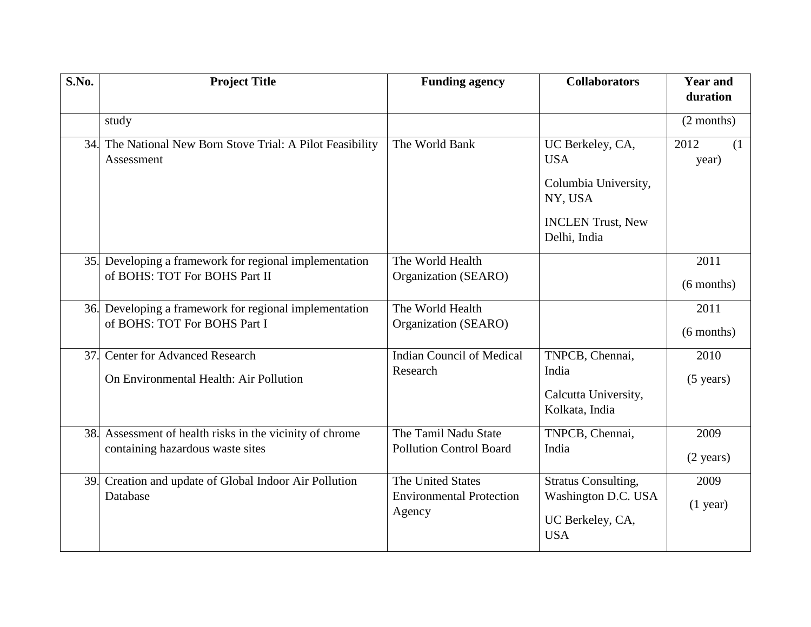| S.No. | <b>Project Title</b>                                                     | <b>Funding agency</b>            | <b>Collaborators</b>                     | <b>Year and</b><br>duration |
|-------|--------------------------------------------------------------------------|----------------------------------|------------------------------------------|-----------------------------|
|       |                                                                          |                                  |                                          |                             |
|       | study                                                                    |                                  |                                          | (2 months)                  |
|       | 34. The National New Born Stove Trial: A Pilot Feasibility<br>Assessment | The World Bank                   | UC Berkeley, CA,<br><b>USA</b>           | 2012<br>(1)<br>year)        |
|       |                                                                          |                                  | Columbia University,<br>NY, USA          |                             |
|       |                                                                          |                                  | <b>INCLEN Trust, New</b><br>Delhi, India |                             |
|       | 35. Developing a framework for regional implementation                   | The World Health                 |                                          | 2011                        |
|       | of BOHS: TOT For BOHS Part II                                            | Organization (SEARO)             |                                          | $(6$ months)                |
|       | 36. Developing a framework for regional implementation                   | The World Health                 |                                          | 2011                        |
|       | of BOHS: TOT For BOHS Part I                                             | Organization (SEARO)             |                                          | $(6$ months)                |
| 37.   | <b>Center for Advanced Research</b>                                      | <b>Indian Council of Medical</b> | TNPCB, Chennai,                          | 2010                        |
|       | On Environmental Health: Air Pollution                                   | Research                         | India                                    | $(5 \text{ years})$         |
|       |                                                                          |                                  | Calcutta University,                     |                             |
|       |                                                                          |                                  | Kolkata, India                           |                             |
|       | 38. Assessment of health risks in the vicinity of chrome                 | The Tamil Nadu State             | TNPCB, Chennai,                          | 2009                        |
|       | containing hazardous waste sites                                         | <b>Pollution Control Board</b>   | India                                    | $(2 \text{ years})$         |
|       | 39. Creation and update of Global Indoor Air Pollution                   | The United States                | <b>Stratus Consulting,</b>               | 2009                        |
|       | Database                                                                 | <b>Environmental Protection</b>  | Washington D.C. USA                      | $(1$ year)                  |
|       |                                                                          | Agency                           | UC Berkeley, CA,<br><b>USA</b>           |                             |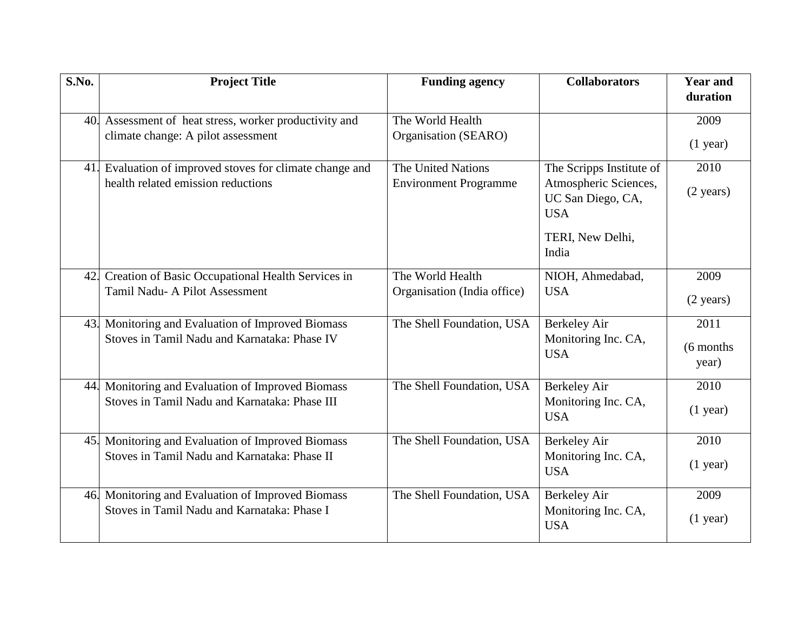| S.No. | <b>Project Title</b>                                                                               | <b>Funding agency</b>                              | <b>Collaborators</b>                                                                                              | <b>Year and</b><br>duration |
|-------|----------------------------------------------------------------------------------------------------|----------------------------------------------------|-------------------------------------------------------------------------------------------------------------------|-----------------------------|
|       | 40. Assessment of heat stress, worker productivity and<br>climate change: A pilot assessment       | The World Health<br>Organisation (SEARO)           |                                                                                                                   | 2009<br>$(1$ year)          |
| 41.   | Evaluation of improved stoves for climate change and<br>health related emission reductions         | The United Nations<br><b>Environment Programme</b> | The Scripps Institute of<br>Atmospheric Sciences,<br>UC San Diego, CA,<br><b>USA</b><br>TERI, New Delhi,<br>India | 2010<br>$(2 \text{ years})$ |
| 42.   | Creation of Basic Occupational Health Services in<br>Tamil Nadu- A Pilot Assessment                | The World Health<br>Organisation (India office)    | NIOH, Ahmedabad,<br><b>USA</b>                                                                                    | 2009<br>$(2 \text{ years})$ |
|       | 43. Monitoring and Evaluation of Improved Biomass<br>Stoves in Tamil Nadu and Karnataka: Phase IV  | The Shell Foundation, USA                          | <b>Berkeley Air</b><br>Monitoring Inc. CA,<br><b>USA</b>                                                          | 2011<br>(6 months)<br>year) |
|       | 44. Monitoring and Evaluation of Improved Biomass<br>Stoves in Tamil Nadu and Karnataka: Phase III | The Shell Foundation, USA                          | <b>Berkeley Air</b><br>Monitoring Inc. CA,<br><b>USA</b>                                                          | 2010<br>$(1$ year)          |
| 45.   | Monitoring and Evaluation of Improved Biomass<br>Stoves in Tamil Nadu and Karnataka: Phase II      | The Shell Foundation, USA                          | <b>Berkeley Air</b><br>Monitoring Inc. CA,<br><b>USA</b>                                                          | 2010<br>$(1$ year)          |
|       | 46. Monitoring and Evaluation of Improved Biomass<br>Stoves in Tamil Nadu and Karnataka: Phase I   | The Shell Foundation, USA                          | <b>Berkeley Air</b><br>Monitoring Inc. CA,<br><b>USA</b>                                                          | 2009<br>$(1$ year)          |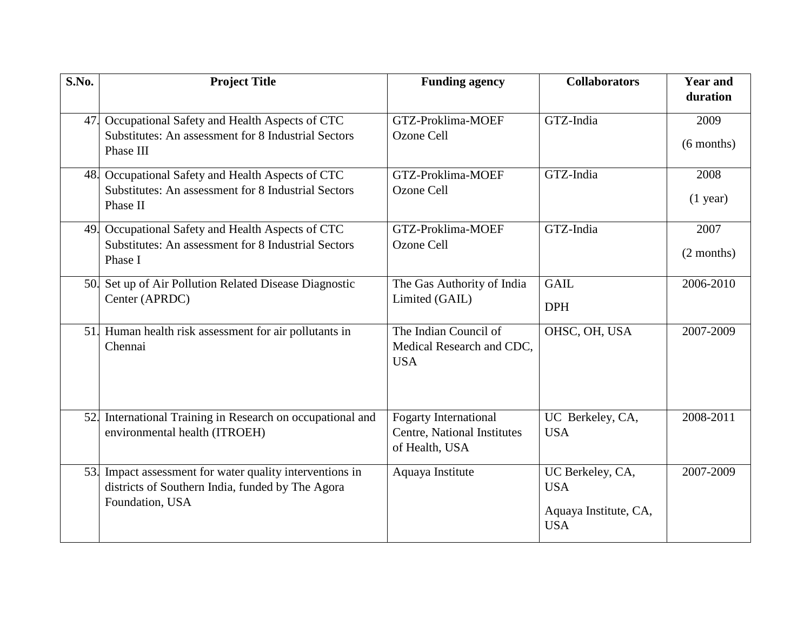| S.No. | <b>Project Title</b>                                                                                                        | <b>Funding agency</b>                                                         | <b>Collaborators</b>                                                  | <b>Year and</b><br>duration |
|-------|-----------------------------------------------------------------------------------------------------------------------------|-------------------------------------------------------------------------------|-----------------------------------------------------------------------|-----------------------------|
| 47.   | Occupational Safety and Health Aspects of CTC<br>Substitutes: An assessment for 8 Industrial Sectors<br>Phase III           | GTZ-Proklima-MOEF<br>Ozone Cell                                               | GTZ-India                                                             | 2009<br>$(6$ months)        |
|       | 48. Occupational Safety and Health Aspects of CTC<br>Substitutes: An assessment for 8 Industrial Sectors<br>Phase II        | GTZ-Proklima-MOEF<br>Ozone Cell                                               | GTZ-India                                                             | 2008<br>$(1$ year)          |
|       | 49. Occupational Safety and Health Aspects of CTC<br>Substitutes: An assessment for 8 Industrial Sectors<br>Phase I         | GTZ-Proklima-MOEF<br>Ozone Cell                                               | GTZ-India                                                             | 2007<br>(2 months)          |
|       | 50. Set up of Air Pollution Related Disease Diagnostic<br>Center (APRDC)                                                    | The Gas Authority of India<br>Limited (GAIL)                                  | <b>GAIL</b><br><b>DPH</b>                                             | 2006-2010                   |
| 51.   | Human health risk assessment for air pollutants in<br>Chennai                                                               | The Indian Council of<br>Medical Research and CDC,<br><b>USA</b>              | OHSC, OH, USA                                                         | 2007-2009                   |
| 52.   | International Training in Research on occupational and<br>environmental health (ITROEH)                                     | <b>Fogarty International</b><br>Centre, National Institutes<br>of Health, USA | UC Berkeley, CA,<br><b>USA</b>                                        | 2008-2011                   |
| 53.   | Impact assessment for water quality interventions in<br>districts of Southern India, funded by The Agora<br>Foundation, USA | Aquaya Institute                                                              | UC Berkeley, CA,<br><b>USA</b><br>Aquaya Institute, CA,<br><b>USA</b> | 2007-2009                   |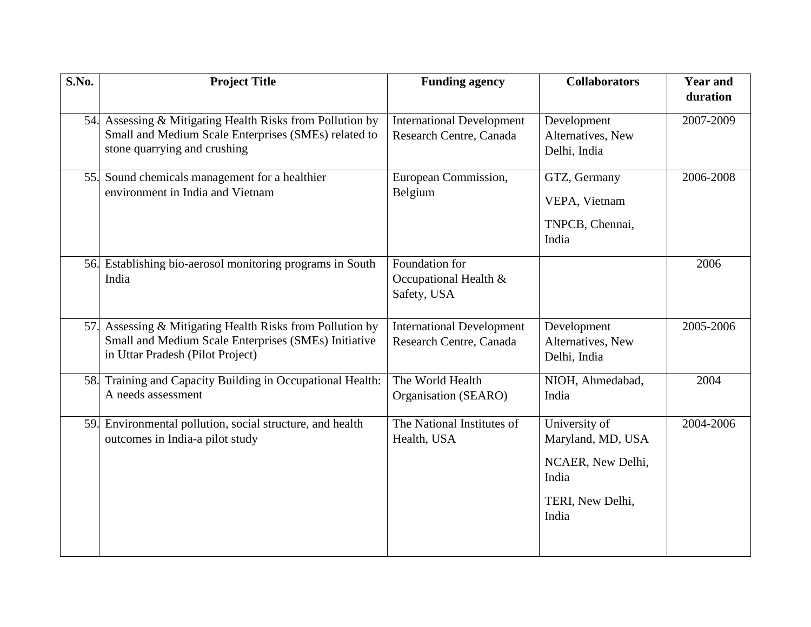| S.No. | <b>Project Title</b>                                                                                                                                  | <b>Funding agency</b>                                       | <b>Collaborators</b>                                                                          | <b>Year and</b><br>duration |
|-------|-------------------------------------------------------------------------------------------------------------------------------------------------------|-------------------------------------------------------------|-----------------------------------------------------------------------------------------------|-----------------------------|
|       | 54. Assessing & Mitigating Health Risks from Pollution by<br>Small and Medium Scale Enterprises (SMEs) related to<br>stone quarrying and crushing     | <b>International Development</b><br>Research Centre, Canada | Development<br>Alternatives, New<br>Delhi, India                                              | 2007-2009                   |
|       | 55. Sound chemicals management for a healthier<br>environment in India and Vietnam                                                                    | European Commission,<br>Belgium                             | GTZ, Germany<br>VEPA, Vietnam<br>TNPCB, Chennai,<br>India                                     | 2006-2008                   |
|       | 56. Establishing bio-aerosol monitoring programs in South<br>India                                                                                    | Foundation for<br>Occupational Health &<br>Safety, USA      |                                                                                               | 2006                        |
|       | 57. Assessing & Mitigating Health Risks from Pollution by<br>Small and Medium Scale Enterprises (SMEs) Initiative<br>in Uttar Pradesh (Pilot Project) | <b>International Development</b><br>Research Centre, Canada | Development<br>Alternatives, New<br>Delhi, India                                              | 2005-2006                   |
|       | 58. Training and Capacity Building in Occupational Health:<br>A needs assessment                                                                      | The World Health<br>Organisation (SEARO)                    | NIOH, Ahmedabad,<br>India                                                                     | 2004                        |
|       | 59. Environmental pollution, social structure, and health<br>outcomes in India-a pilot study                                                          | The National Institutes of<br>Health, USA                   | University of<br>Maryland, MD, USA<br>NCAER, New Delhi,<br>India<br>TERI, New Delhi,<br>India | 2004-2006                   |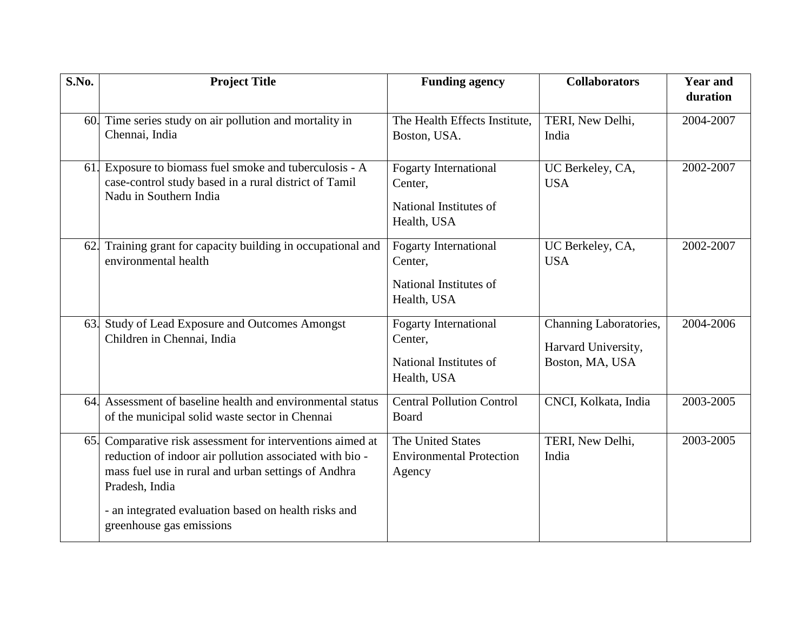| S.No. | <b>Project Title</b>                                                                                                                                                                                                                                                              | <b>Funding agency</b>                                                            | <b>Collaborators</b>                                             | <b>Year and</b><br>duration |
|-------|-----------------------------------------------------------------------------------------------------------------------------------------------------------------------------------------------------------------------------------------------------------------------------------|----------------------------------------------------------------------------------|------------------------------------------------------------------|-----------------------------|
|       | 60. Time series study on air pollution and mortality in<br>Chennai, India                                                                                                                                                                                                         | The Health Effects Institute,<br>Boston, USA.                                    | TERI, New Delhi,<br>India                                        | 2004-2007                   |
| 61.   | Exposure to biomass fuel smoke and tuberculosis - A<br>case-control study based in a rural district of Tamil<br>Nadu in Southern India                                                                                                                                            | <b>Fogarty International</b><br>Center,<br>National Institutes of<br>Health, USA | UC Berkeley, CA,<br><b>USA</b>                                   | 2002-2007                   |
|       | 62. Training grant for capacity building in occupational and<br>environmental health                                                                                                                                                                                              | <b>Fogarty International</b><br>Center,<br>National Institutes of<br>Health, USA | UC Berkeley, CA,<br><b>USA</b>                                   | 2002-2007                   |
|       | 63. Study of Lead Exposure and Outcomes Amongst<br>Children in Chennai, India                                                                                                                                                                                                     | <b>Fogarty International</b><br>Center,<br>National Institutes of<br>Health, USA | Channing Laboratories,<br>Harvard University,<br>Boston, MA, USA | 2004-2006                   |
|       | 64. Assessment of baseline health and environmental status<br>of the municipal solid waste sector in Chennai                                                                                                                                                                      | <b>Central Pollution Control</b><br><b>Board</b>                                 | CNCI, Kolkata, India                                             | 2003-2005                   |
|       | 65. Comparative risk assessment for interventions aimed at<br>reduction of indoor air pollution associated with bio-<br>mass fuel use in rural and urban settings of Andhra<br>Pradesh, India<br>- an integrated evaluation based on health risks and<br>greenhouse gas emissions | The United States<br><b>Environmental Protection</b><br>Agency                   | TERI, New Delhi,<br>India                                        | 2003-2005                   |